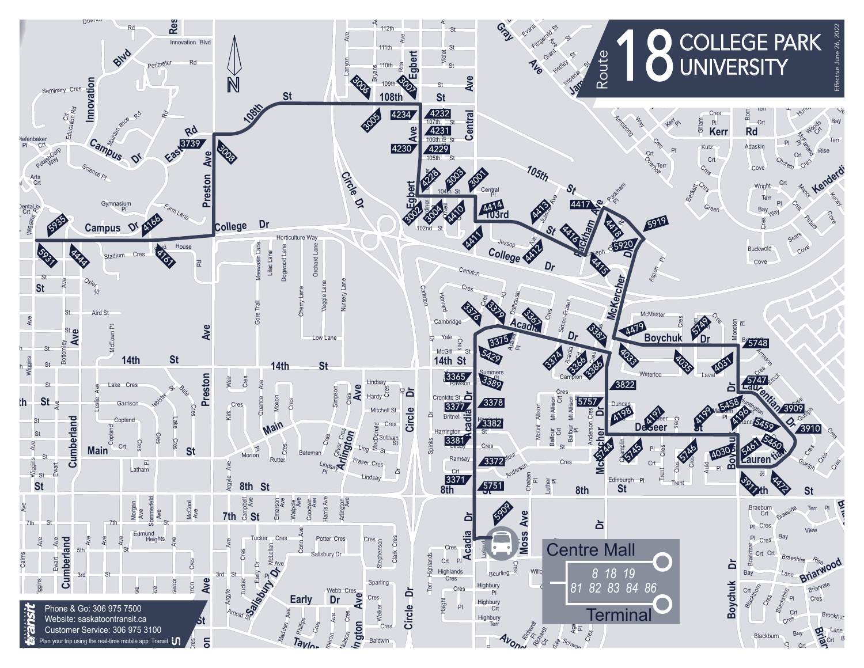